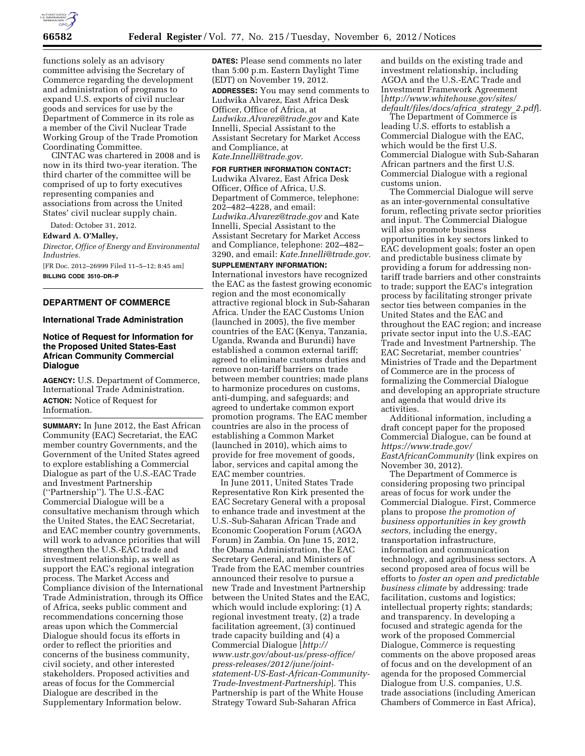

functions solely as an advisory committee advising the Secretary of Commerce regarding the development and administration of programs to expand U.S. exports of civil nuclear goods and services for use by the Department of Commerce in its role as a member of the Civil Nuclear Trade Working Group of the Trade Promotion Coordinating Committee.

CINTAC was chartered in 2008 and is now in its third two-year iteration. The third charter of the committee will be comprised of up to forty executives representing companies and associations from across the United States' civil nuclear supply chain.

Dated: October 31, 2012.

**Edward A. O'Malley,** 

*Director, Office of Energy and Environmental Industries.* 

[FR Doc. 2012–26999 Filed 11–5–12; 8:45 am] **BILLING CODE 3510–DR–P** 

### **DEPARTMENT OF COMMERCE**

## **International Trade Administration**

# **Notice of Request for Information for the Proposed United States-East African Community Commercial Dialogue**

**AGENCY:** U.S. Department of Commerce, International Trade Administration. **ACTION:** Notice of Request for Information.

**SUMMARY:** In June 2012, the East African Community (EAC) Secretariat, the EAC member country Governments, and the Government of the United States agreed to explore establishing a Commercial Dialogue as part of the U.S.-EAC Trade and Investment Partnership (''Partnership''). The U.S.-EAC Commercial Dialogue will be a consultative mechanism through which the United States, the EAC Secretariat, and EAC member country governments, will work to advance priorities that will strengthen the U.S.-EAC trade and investment relationship, as well as support the EAC's regional integration process. The Market Access and Compliance division of the International Trade Administration, through its Office of Africa, seeks public comment and recommendations concerning those areas upon which the Commercial Dialogue should focus its efforts in order to reflect the priorities and concerns of the business community, civil society, and other interested stakeholders. Proposed activities and areas of focus for the Commercial Dialogue are described in the Supplementary Information below.

**DATES:** Please send comments no later than 5:00 p.m. Eastern Daylight Time (EDT) on November 19, 2012. **ADDRESSES:** You may send comments to Ludwika Alvarez, East Africa Desk Officer, Office of Africa, at *[Ludwika.Alvarez@trade.gov](mailto:Ludwika.Alvarez@trade.gov)* and Kate Innelli, Special Assistant to the Assistant Secretary for Market Access and Compliance, at *[Kate.Innelli@trade.gov.](mailto:Kate.Innelli@trade.gov)* 

### **FOR FURTHER INFORMATION CONTACT:**

Ludwika Alvarez, East Africa Desk Officer, Office of Africa, U.S. Department of Commerce, telephone: 202–482–4228, and email: *[Ludwika.Alvarez@trade.gov](mailto:Ludwika.Alvarez@trade.gov)* and Kate Innelli, Special Assistant to the Assistant Secretary for Market Access and Compliance, telephone: 202–482– 3290, and email: *[Kate.Innelli@trade.gov.](mailto:Kate.Innelli@trade.gov)* 

#### **SUPPLEMENTARY INFORMATION:**

International investors have recognized the EAC as the fastest growing economic region and the most economically attractive regional block in Sub-Saharan Africa. Under the EAC Customs Union (launched in 2005), the five member countries of the EAC (Kenya, Tanzania, Uganda, Rwanda and Burundi) have established a common external tariff; agreed to eliminate customs duties and remove non-tariff barriers on trade between member countries; made plans to harmonize procedures on customs, anti-dumping, and safeguards; and agreed to undertake common export promotion programs. The EAC member countries are also in the process of establishing a Common Market (launched in 2010), which aims to provide for free movement of goods, labor, services and capital among the EAC member countries.

In June 2011, United States Trade Representative Ron Kirk presented the EAC Secretary General with a proposal to enhance trade and investment at the U.S.-Sub-Saharan African Trade and Economic Cooperation Forum (AGOA Forum) in Zambia. On June 15, 2012, the Obama Administration, the EAC Secretary General, and Ministers of Trade from the EAC member countries announced their resolve to pursue a new Trade and Investment Partnership between the United States and the EAC, which would include exploring: (1) A regional investment treaty, (2) a trade facilitation agreement, (3) continued trade capacity building and (4) a Commercial Dialogue [*[http://](http://www.ustr.gov/about-us/press-office/press-releases/2012/june/joint-statement-US-East-African-Community-Trade-Investment-Partnership)  [www.ustr.gov/about-us/press-office/](http://www.ustr.gov/about-us/press-office/press-releases/2012/june/joint-statement-US-East-African-Community-Trade-Investment-Partnership) [press-releases/2012/june/joint](http://www.ustr.gov/about-us/press-office/press-releases/2012/june/joint-statement-US-East-African-Community-Trade-Investment-Partnership)[statement-US-East-African-Community-](http://www.ustr.gov/about-us/press-office/press-releases/2012/june/joint-statement-US-East-African-Community-Trade-Investment-Partnership)[Trade-Investment-Partnership](http://www.ustr.gov/about-us/press-office/press-releases/2012/june/joint-statement-US-East-African-Community-Trade-Investment-Partnership)*]. This Partnership is part of the White House Strategy Toward Sub-Saharan Africa

and builds on the existing trade and investment relationship, including AGOA and the U.S.-EAC Trade and Investment Framework Agreement [*[http://www.whitehouse.gov/sites/](http://www.whitehouse.gov/sites/default/files/docs/africa_strategy_2.pdf)  [default/files/docs/africa](http://www.whitehouse.gov/sites/default/files/docs/africa_strategy_2.pdf)*\_*strategy*\_*2.pdf*].

The Department of Commerce is leading U.S. efforts to establish a Commercial Dialogue with the EAC, which would be the first U.S. Commercial Dialogue with Sub-Saharan African partners and the first U.S. Commercial Dialogue with a regional customs union.

The Commercial Dialogue will serve as an inter-governmental consultative forum, reflecting private sector priorities and input. The Commercial Dialogue will also promote business opportunities in key sectors linked to EAC development goals; foster an open and predictable business climate by providing a forum for addressing nontariff trade barriers and other constraints to trade; support the EAC's integration process by facilitating stronger private sector ties between companies in the United States and the EAC and throughout the EAC region; and increase private sector input into the U.S.-EAC Trade and Investment Partnership. The EAC Secretariat, member countries' Ministries of Trade and the Department of Commerce are in the process of formalizing the Commercial Dialogue and developing an appropriate structure and agenda that would drive its activities.

Additional information, including a draft concept paper for the proposed Commercial Dialogue, can be found at *[https://www.trade.gov/](https://www.trade.gov/EastAfricanCommunity) [EastAfricanCommunity](https://www.trade.gov/EastAfricanCommunity)* (link expires on November 30, 2012).

The Department of Commerce is considering proposing two principal areas of focus for work under the Commercial Dialogue. First, Commerce plans to propose *the promotion of business opportunities in key growth sectors,* including the energy, transportation infrastructure, information and communication technology, and agribusiness sectors. A second proposed area of focus will be efforts to *foster an open and predictable business climate* by addressing: trade facilitation, customs and logistics; intellectual property rights; standards; and transparency. In developing a focused and strategic agenda for the work of the proposed Commercial Dialogue, Commerce is requesting comments on the above proposed areas of focus and on the development of an agenda for the proposed Commercial Dialogue from U.S. companies, U.S. trade associations (including American Chambers of Commerce in East Africa),